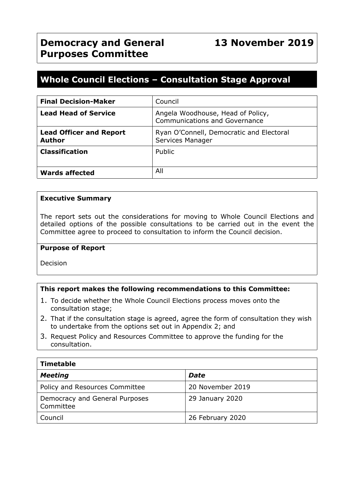# **Whole Council Elections – Consultation Stage Approval**

| <b>Final Decision-Maker</b>                     | Council                                                                   |
|-------------------------------------------------|---------------------------------------------------------------------------|
| <b>Lead Head of Service</b>                     | Angela Woodhouse, Head of Policy,<br><b>Communications and Governance</b> |
| <b>Lead Officer and Report</b><br><b>Author</b> | Ryan O'Connell, Democratic and Electoral<br>Services Manager              |
| <b>Classification</b>                           | Public                                                                    |
| <b>Wards affected</b>                           | All                                                                       |

#### **Executive Summary**

The report sets out the considerations for moving to Whole Council Elections and detailed options of the possible consultations to be carried out in the event the Committee agree to proceed to consultation to inform the Council decision.

#### **Purpose of Report**

Decision

# **This report makes the following recommendations to this Committee:**

- 1. To decide whether the Whole Council Elections process moves onto the consultation stage;
- 2. That if the consultation stage is agreed, agree the form of consultation they wish to undertake from the options set out in Appendix 2; and
- 3. Request Policy and Resources Committee to approve the funding for the consultation.

| <b>Timetable</b>                            |                  |  |  |
|---------------------------------------------|------------------|--|--|
| <b>Meeting</b>                              | <b>Date</b>      |  |  |
| Policy and Resources Committee              | 20 November 2019 |  |  |
| Democracy and General Purposes<br>Committee | 29 January 2020  |  |  |
| Council                                     | 26 February 2020 |  |  |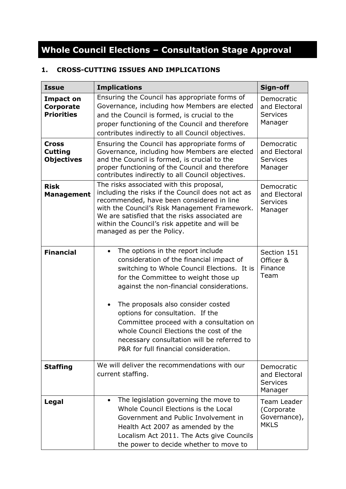# **Whole Council Elections – Consultation Stage Approval**

# **1. CROSS-CUTTING ISSUES AND IMPLICATIONS**

| <b>Issue</b>                                        | <b>Implications</b>                                                                                                                                                                                                                                                                                                                                                                                                                                                                    | Sign-off                                                  |
|-----------------------------------------------------|----------------------------------------------------------------------------------------------------------------------------------------------------------------------------------------------------------------------------------------------------------------------------------------------------------------------------------------------------------------------------------------------------------------------------------------------------------------------------------------|-----------------------------------------------------------|
| <b>Impact on</b><br>Corporate<br><b>Priorities</b>  | Ensuring the Council has appropriate forms of<br>Governance, including how Members are elected<br>and the Council is formed, is crucial to the<br>proper functioning of the Council and therefore<br>contributes indirectly to all Council objectives.                                                                                                                                                                                                                                 | Democratic<br>and Electoral<br><b>Services</b><br>Manager |
| <b>Cross</b><br><b>Cutting</b><br><b>Objectives</b> | Ensuring the Council has appropriate forms of<br>Governance, including how Members are elected<br>and the Council is formed, is crucial to the<br>proper functioning of the Council and therefore<br>contributes indirectly to all Council objectives.                                                                                                                                                                                                                                 | Democratic<br>and Electoral<br><b>Services</b><br>Manager |
| <b>Risk</b><br><b>Management</b>                    | The risks associated with this proposal,<br>including the risks if the Council does not act as<br>recommended, have been considered in line<br>with the Council's Risk Management Framework.<br>We are satisfied that the risks associated are<br>within the Council's risk appetite and will be<br>managed as per the Policy.                                                                                                                                                         | Democratic<br>and Electoral<br><b>Services</b><br>Manager |
| <b>Financial</b>                                    | The options in the report include<br>$\bullet$<br>consideration of the financial impact of<br>switching to Whole Council Elections. It is<br>for the Committee to weight those up<br>against the non-financial considerations.<br>The proposals also consider costed<br>options for consultation. If the<br>Committee proceed with a consultation on<br>whole Council Elections the cost of the<br>necessary consultation will be referred to<br>P&R for full financial consideration. | Section 151<br>Officer &<br>Finance<br>Team               |
| <b>Staffing</b>                                     | We will deliver the recommendations with our<br>current staffing.                                                                                                                                                                                                                                                                                                                                                                                                                      | Democratic<br>and Electoral<br><b>Services</b><br>Manager |
| Legal                                               | The legislation governing the move to<br>$\bullet$<br>Whole Council Elections is the Local<br>Government and Public Involvement in<br>Health Act 2007 as amended by the<br>Localism Act 2011. The Acts give Councils<br>the power to decide whether to move to                                                                                                                                                                                                                         | Team Leader<br>(Corporate<br>Governance),<br><b>MKLS</b>  |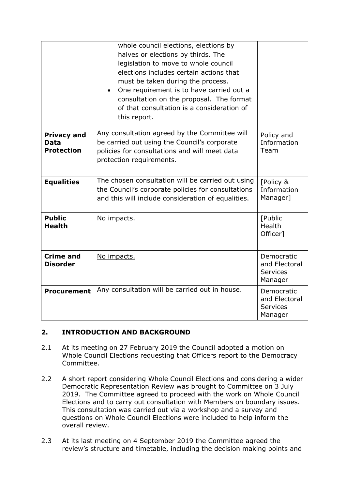|                                                        | whole council elections, elections by<br>halves or elections by thirds. The<br>legislation to move to whole council<br>elections includes certain actions that<br>must be taken during the process.<br>One requirement is to have carried out a<br>$\bullet$<br>consultation on the proposal. The format<br>of that consultation is a consideration of<br>this report. |                                                           |
|--------------------------------------------------------|------------------------------------------------------------------------------------------------------------------------------------------------------------------------------------------------------------------------------------------------------------------------------------------------------------------------------------------------------------------------|-----------------------------------------------------------|
| <b>Privacy and</b><br><b>Data</b><br><b>Protection</b> | Any consultation agreed by the Committee will<br>be carried out using the Council's corporate<br>policies for consultations and will meet data<br>protection requirements.                                                                                                                                                                                             | Policy and<br>Information<br>Team                         |
| <b>Equalities</b>                                      | The chosen consultation will be carried out using<br>the Council's corporate policies for consultations<br>and this will include consideration of equalities.                                                                                                                                                                                                          | [Policy &<br>Information<br>Manager]                      |
| <b>Public</b><br><b>Health</b>                         | No impacts.                                                                                                                                                                                                                                                                                                                                                            | [Public<br>Health<br>Officer]                             |
| <b>Crime and</b><br><b>Disorder</b>                    | No impacts.                                                                                                                                                                                                                                                                                                                                                            | Democratic<br>and Electoral<br><b>Services</b><br>Manager |
| <b>Procurement</b>                                     | Any consultation will be carried out in house.                                                                                                                                                                                                                                                                                                                         | Democratic<br>and Electoral<br><b>Services</b><br>Manager |

# **2. INTRODUCTION AND BACKGROUND**

- 2.1 At its meeting on 27 February 2019 the Council adopted a motion on Whole Council Elections requesting that Officers report to the Democracy Committee.
- 2.2 A short report considering Whole Council Elections and considering a wider Democratic Representation Review was brought to Committee on 3 July 2019. The Committee agreed to proceed with the work on Whole Council Elections and to carry out consultation with Members on boundary issues. This consultation was carried out via a workshop and a survey and questions on Whole Council Elections were included to help inform the overall review.
- 2.3 At its last meeting on 4 September 2019 the Committee agreed the review's structure and timetable, including the decision making points and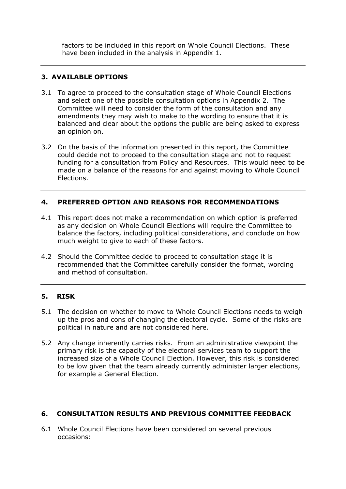factors to be included in this report on Whole Council Elections. These have been included in the analysis in Appendix 1.

# **3. AVAILABLE OPTIONS**

- 3.1 To agree to proceed to the consultation stage of Whole Council Elections and select one of the possible consultation options in Appendix 2. The Committee will need to consider the form of the consultation and any amendments they may wish to make to the wording to ensure that it is balanced and clear about the options the public are being asked to express an opinion on.
- 3.2 On the basis of the information presented in this report, the Committee could decide not to proceed to the consultation stage and not to request funding for a consultation from Policy and Resources. This would need to be made on a balance of the reasons for and against moving to Whole Council Elections.

# **4. PREFERRED OPTION AND REASONS FOR RECOMMENDATIONS**

- 4.1 This report does not make a recommendation on which option is preferred as any decision on Whole Council Elections will require the Committee to balance the factors, including political considerations, and conclude on how much weight to give to each of these factors.
- 4.2 Should the Committee decide to proceed to consultation stage it is recommended that the Committee carefully consider the format, wording and method of consultation.

# **5. RISK**

- 5.1 The decision on whether to move to Whole Council Elections needs to weigh up the pros and cons of changing the electoral cycle. Some of the risks are political in nature and are not considered here.
- 5.2 Any change inherently carries risks. From an administrative viewpoint the primary risk is the capacity of the electoral services team to support the increased size of a Whole Council Election. However, this risk is considered to be low given that the team already currently administer larger elections, for example a General Election.

# **6. CONSULTATION RESULTS AND PREVIOUS COMMITTEE FEEDBACK**

6.1 Whole Council Elections have been considered on several previous occasions: